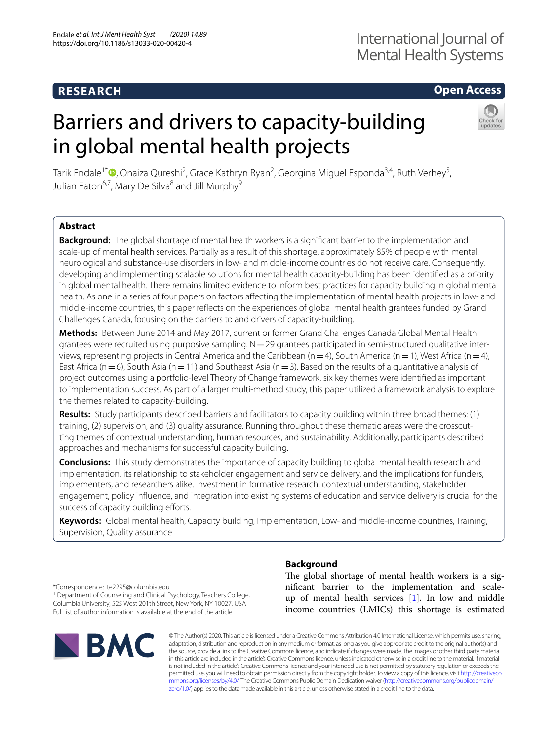# **RESEARCH**

# **Open Access**

# Barriers and drivers to capacity-building in global mental health projects



Tarik Endale<sup>1\*</sup>®[,](http://orcid.org/0000-0002-5872-0962) Onaiza Qureshi<sup>2</sup>, Grace Kathryn Ryan<sup>2</sup>, Georgina Miguel Esponda<sup>3,4</sup>, Ruth Verhey<sup>5</sup>, Julian Eaton<sup>6,7</sup>, Mary De Silva<sup>8</sup> and Jill Murphy<sup>9</sup>

## **Abstract**

**Background:** The global shortage of mental health workers is a signifcant barrier to the implementation and scale-up of mental health services. Partially as a result of this shortage, approximately 85% of people with mental, neurological and substance-use disorders in low- and middle-income countries do not receive care. Consequently, developing and implementing scalable solutions for mental health capacity-building has been identifed as a priority in global mental health. There remains limited evidence to inform best practices for capacity building in global mental health. As one in a series of four papers on factors afecting the implementation of mental health projects in low- and middle-income countries, this paper refects on the experiences of global mental health grantees funded by Grand Challenges Canada, focusing on the barriers to and drivers of capacity-building.

**Methods:** Between June 2014 and May 2017, current or former Grand Challenges Canada Global Mental Health grantees were recruited using purposive sampling.  $N=29$  grantees participated in semi-structured qualitative interviews, representing projects in Central America and the Caribbean ( $n=4$ ), South America ( $n=1$ ), West Africa ( $n=4$ ), East Africa ( $n=6$ ), South Asia ( $n=11$ ) and Southeast Asia ( $n=3$ ). Based on the results of a quantitative analysis of project outcomes using a portfolio-level Theory of Change framework, six key themes were identifed as important to implementation success. As part of a larger multi-method study, this paper utilized a framework analysis to explore the themes related to capacity-building.

**Results:** Study participants described barriers and facilitators to capacity building within three broad themes: (1) training, (2) supervision, and (3) quality assurance. Running throughout these thematic areas were the crosscutting themes of contextual understanding, human resources, and sustainability. Additionally, participants described approaches and mechanisms for successful capacity building.

**Conclusions:** This study demonstrates the importance of capacity building to global mental health research and implementation, its relationship to stakeholder engagement and service delivery, and the implications for funders, implementers, and researchers alike. Investment in formative research, contextual understanding, stakeholder engagement, policy infuence, and integration into existing systems of education and service delivery is crucial for the success of capacity building efforts.

**Keywords:** Global mental health, Capacity building, Implementation, Low- and middle-income countries, Training, Supervision, Quality assurance

\*Correspondence: te2295@columbia.edu <sup>1</sup> Department of Counseling and Clinical Psychology, Teachers College, Columbia University, 525 West 201th Street, New York, NY 10027, USA Full list of author information is available at the end of the article



# **Background**

The global shortage of mental health workers is a signifcant barrier to the implementation and scaleup of mental health services [[1\]](#page-10-0). In low and middle income countries (LMICs) this shortage is estimated

© The Author(s) 2020. This article is licensed under a Creative Commons Attribution 4.0 International License, which permits use, sharing, adaptation, distribution and reproduction in any medium or format, as long as you give appropriate credit to the original author(s) and the source, provide a link to the Creative Commons licence, and indicate if changes were made. The images or other third party material in this article are included in the article's Creative Commons licence, unless indicated otherwise in a credit line to the material. If material is not included in the article's Creative Commons licence and your intended use is not permitted by statutory regulation or exceeds the permitted use, you will need to obtain permission directly from the copyright holder. To view a copy of this licence, visit [http://creativeco](http://creativecommons.org/licenses/by/4.0/) [mmons.org/licenses/by/4.0/.](http://creativecommons.org/licenses/by/4.0/) The Creative Commons Public Domain Dedication waiver ([http://creativecommons.org/publicdomain/](http://creativecommons.org/publicdomain/zero/1.0/) [zero/1.0/\)](http://creativecommons.org/publicdomain/zero/1.0/) applies to the data made available in this article, unless otherwise stated in a credit line to the data.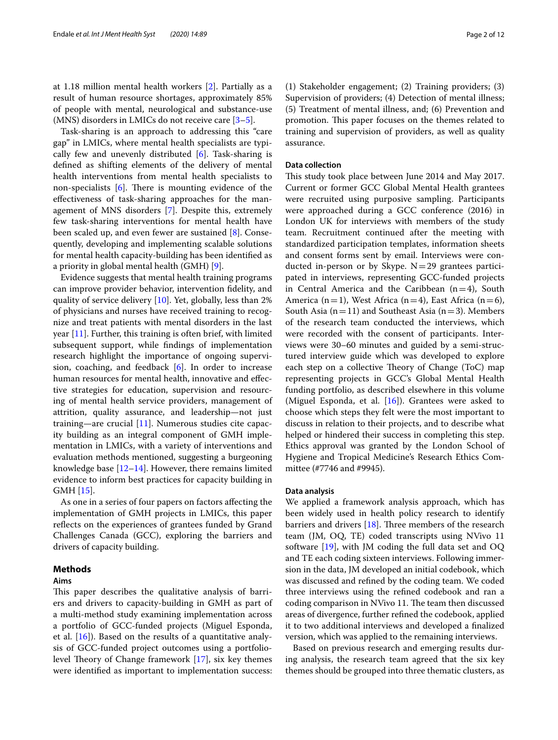at 1.18 million mental health workers [\[2](#page-10-1)]. Partially as a result of human resource shortages, approximately 85% of people with mental, neurological and substance-use (MNS) disorders in LMICs do not receive care [\[3](#page-10-2)[–5](#page-10-3)].

Task-sharing is an approach to addressing this "care gap" in LMICs, where mental health specialists are typically few and unevenly distributed [\[6](#page-10-4)]. Task-sharing is defned as shifting elements of the delivery of mental health interventions from mental health specialists to non-specialists  $[6]$  $[6]$ . There is mounting evidence of the efectiveness of task-sharing approaches for the management of MNS disorders [\[7\]](#page-11-0). Despite this, extremely few task-sharing interventions for mental health have been scaled up, and even fewer are sustained [\[8](#page-11-1)]. Consequently, developing and implementing scalable solutions for mental health capacity-building has been identifed as a priority in global mental health (GMH) [[9\]](#page-11-2).

Evidence suggests that mental health training programs can improve provider behavior, intervention fdelity, and quality of service delivery  $[10]$  $[10]$ . Yet, globally, less than 2% of physicians and nurses have received training to recognize and treat patients with mental disorders in the last year [[11](#page-11-4)]. Further, this training is often brief, with limited subsequent support, while fndings of implementation research highlight the importance of ongoing supervision, coaching, and feedback  $[6]$  $[6]$ . In order to increase human resources for mental health, innovative and efective strategies for education, supervision and resourcing of mental health service providers, management of attrition, quality assurance, and leadership—not just training—are crucial [[11](#page-11-4)]. Numerous studies cite capacity building as an integral component of GMH implementation in LMICs, with a variety of interventions and evaluation methods mentioned, suggesting a burgeoning knowledge base [\[12](#page-11-5)[–14\]](#page-11-6). However, there remains limited evidence to inform best practices for capacity building in GMH [\[15](#page-11-7)].

As one in a series of four papers on factors afecting the implementation of GMH projects in LMICs, this paper reflects on the experiences of grantees funded by Grand Challenges Canada (GCC), exploring the barriers and drivers of capacity building.

#### **Methods**

#### **Aims**

This paper describes the qualitative analysis of barriers and drivers to capacity-building in GMH as part of a multi-method study examining implementation across a portfolio of GCC-funded projects (Miguel Esponda, et al. [[16](#page-11-8)]). Based on the results of a quantitative analysis of GCC-funded project outcomes using a portfoliolevel Theory of Change framework  $[17]$  $[17]$ , six key themes were identifed as important to implementation success: (1) Stakeholder engagement; (2) Training providers; (3) Supervision of providers; (4) Detection of mental illness; (5) Treatment of mental illness, and; (6) Prevention and promotion. This paper focuses on the themes related to training and supervision of providers, as well as quality assurance.

#### **Data collection**

This study took place between June 2014 and May 2017. Current or former GCC Global Mental Health grantees were recruited using purposive sampling. Participants were approached during a GCC conference (2016) in London UK for interviews with members of the study team. Recruitment continued after the meeting with standardized participation templates, information sheets and consent forms sent by email. Interviews were conducted in-person or by Skype.  $N=29$  grantees participated in interviews, representing GCC-funded projects in Central America and the Caribbean  $(n=4)$ , South America (n=1), West Africa (n=4), East Africa (n=6), South Asia ( $n=11$ ) and Southeast Asia ( $n=3$ ). Members of the research team conducted the interviews, which were recorded with the consent of participants. Interviews were 30–60 minutes and guided by a semi-structured interview guide which was developed to explore each step on a collective Theory of Change (ToC) map representing projects in GCC's Global Mental Health funding portfolio, as described elsewhere in this volume (Miguel Esponda, et al.  $[16]$  $[16]$ ). Grantees were asked to choose which steps they felt were the most important to discuss in relation to their projects, and to describe what helped or hindered their success in completing this step. Ethics approval was granted by the London School of Hygiene and Tropical Medicine's Research Ethics Committee (#7746 and #9945).

#### **Data analysis**

We applied a framework analysis approach, which has been widely used in health policy research to identify barriers and drivers  $[18]$  $[18]$ . Three members of the research team (JM, OQ, TE) coded transcripts using NVivo 11 software [\[19](#page-11-11)], with JM coding the full data set and OQ and TE each coding sixteen interviews. Following immersion in the data, JM developed an initial codebook, which was discussed and refned by the coding team. We coded three interviews using the refned codebook and ran a coding comparison in NVivo 11. The team then discussed areas of divergence, further refned the codebook, applied it to two additional interviews and developed a fnalized version, which was applied to the remaining interviews.

Based on previous research and emerging results during analysis, the research team agreed that the six key themes should be grouped into three thematic clusters, as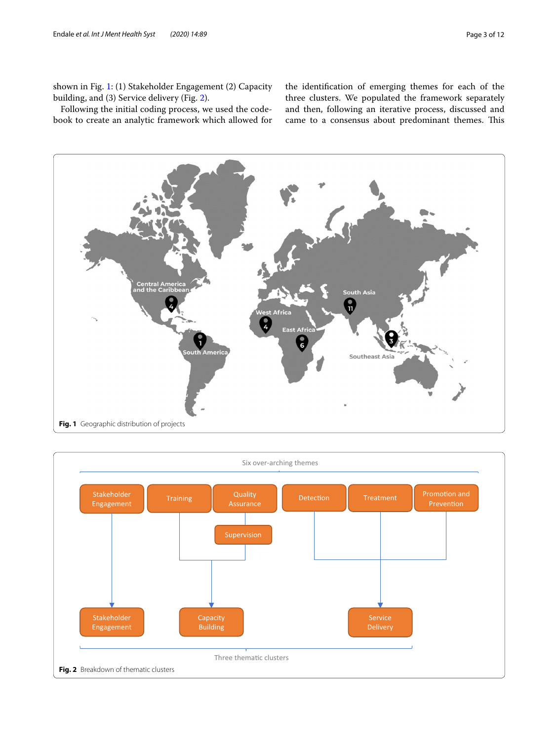shown in Fig. [1:](#page-2-0) (1) Stakeholder Engagement (2) Capacity building, and (3) Service delivery (Fig. [2](#page-2-1)).

Following the initial coding process, we used the codebook to create an analytic framework which allowed for

the identifcation of emerging themes for each of the three clusters. We populated the framework separately and then, following an iterative process, discussed and came to a consensus about predominant themes. This



<span id="page-2-1"></span><span id="page-2-0"></span>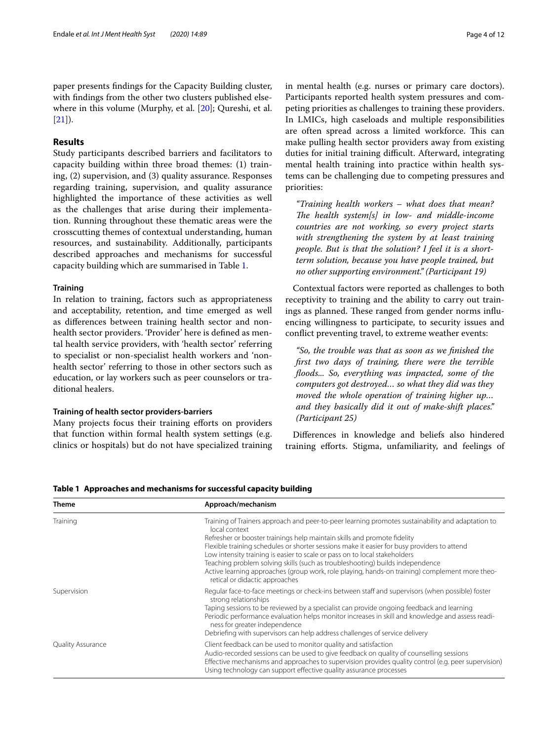paper presents fndings for the Capacity Building cluster, with fndings from the other two clusters published elsewhere in this volume (Murphy, et al. [\[20\]](#page-11-12); Qureshi, et al.  $[21]$  $[21]$ ).

#### **Results**

Study participants described barriers and facilitators to capacity building within three broad themes: (1) training, (2) supervision, and (3) quality assurance. Responses regarding training, supervision, and quality assurance highlighted the importance of these activities as well as the challenges that arise during their implementation. Running throughout these thematic areas were the crosscutting themes of contextual understanding, human resources, and sustainability. Additionally, participants described approaches and mechanisms for successful capacity building which are summarised in Table [1.](#page-3-0)

#### **Training**

In relation to training, factors such as appropriateness and acceptability, retention, and time emerged as well as diferences between training health sector and nonhealth sector providers. 'Provider' here is defned as mental health service providers, with 'health sector' referring to specialist or non-specialist health workers and 'nonhealth sector' referring to those in other sectors such as education, or lay workers such as peer counselors or traditional healers.

#### **Training of health sector providers‑barriers**

Many projects focus their training eforts on providers that function within formal health system settings (e.g. clinics or hospitals) but do not have specialized training in mental health (e.g. nurses or primary care doctors). Participants reported health system pressures and competing priorities as challenges to training these providers. In LMICs, high caseloads and multiple responsibilities are often spread across a limited workforce. This can make pulling health sector providers away from existing duties for initial training difficult. Afterward, integrating mental health training into practice within health systems can be challenging due to competing pressures and priorities:

*"Training health workers – what does that mean?*  The health system[s] in low- and middle-income *countries are not working, so every project starts with strengthening the system by at least training people. But is that the solution? I feel it is a shortterm solution, because you have people trained, but no other supporting environment." (Participant 19)*

Contextual factors were reported as challenges to both receptivity to training and the ability to carry out trainings as planned. These ranged from gender norms influencing willingness to participate, to security issues and confict preventing travel, to extreme weather events:

*"So, the trouble was that as soon as we fnished the frst two days of training, there were the terrible foods... So, everything was impacted, some of the computers got destroyed… so what they did was they moved the whole operation of training higher up… and they basically did it out of make-shift places." (Participant 25)*

Diferences in knowledge and beliefs also hindered training eforts. Stigma, unfamiliarity, and feelings of

<span id="page-3-0"></span>**Table 1 Approaches and mechanisms for successful capacity building**

| <b>Theme</b>             | Approach/mechanism                                                                                                                                                                                                                                                                                                                                                                                                                       |
|--------------------------|------------------------------------------------------------------------------------------------------------------------------------------------------------------------------------------------------------------------------------------------------------------------------------------------------------------------------------------------------------------------------------------------------------------------------------------|
| Training                 | Training of Trainers approach and peer-to-peer learning promotes sustainability and adaptation to<br>local context                                                                                                                                                                                                                                                                                                                       |
|                          | Refresher or booster trainings help maintain skills and promote fidelity<br>Flexible training schedules or shorter sessions make it easier for busy providers to attend<br>Low intensity training is easier to scale or pass on to local stakeholders<br>Teaching problem solving skills (such as troubleshooting) builds independence<br>Active learning approaches (group work, role playing, hands-on training) complement more theo- |
| Supervision              | retical or didactic approaches<br>Regular face-to-face meetings or check-ins between staff and supervisors (when possible) foster<br>strong relationships                                                                                                                                                                                                                                                                                |
|                          | Taping sessions to be reviewed by a specialist can provide ongoing feedback and learning<br>Periodic performance evaluation helps monitor increases in skill and knowledge and assess readi-<br>ness for greater independence<br>Debriefing with supervisors can help address challenges of service delivery                                                                                                                             |
| <b>Quality Assurance</b> | Client feedback can be used to monitor quality and satisfaction<br>Audio-recorded sessions can be used to give feedback on quality of counselling sessions<br>Effective mechanisms and approaches to supervision provides quality control (e.g. peer supervision)<br>Using technology can support effective quality assurance processes                                                                                                  |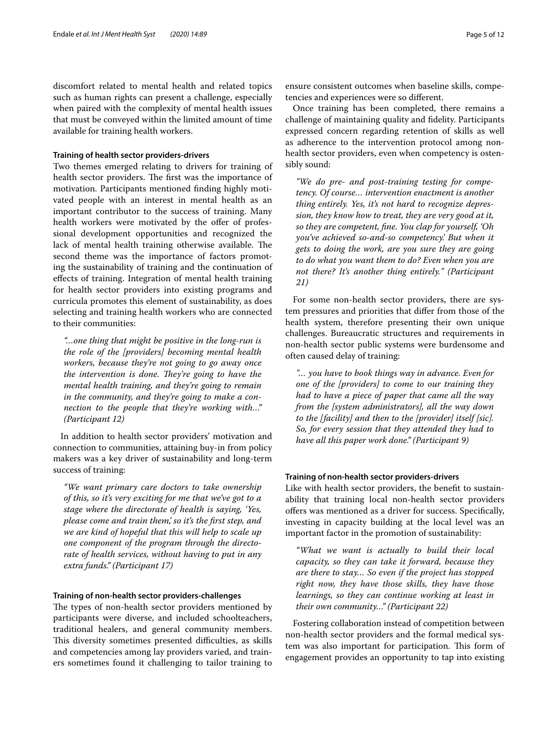discomfort related to mental health and related topics such as human rights can present a challenge, especially when paired with the complexity of mental health issues that must be conveyed within the limited amount of time available for training health workers.

#### **Training of health sector providers‑drivers**

Two themes emerged relating to drivers for training of health sector providers. The first was the importance of motivation. Participants mentioned fnding highly motivated people with an interest in mental health as an important contributor to the success of training. Many health workers were motivated by the offer of professional development opportunities and recognized the lack of mental health training otherwise available. The second theme was the importance of factors promoting the sustainability of training and the continuation of efects of training. Integration of mental health training for health sector providers into existing programs and curricula promotes this element of sustainability, as does selecting and training health workers who are connected to their communities:

*"…one thing that might be positive in the long-run is the role of the [providers] becoming mental health workers, because they're not going to go away once the intervention is done. They're going to have the mental health training, and they're going to remain in the community, and they're going to make a connection to the people that they're working with…" (Participant 12)*

In addition to health sector providers' motivation and connection to communities, attaining buy-in from policy makers was a key driver of sustainability and long-term success of training:

*"We want primary care doctors to take ownership of this, so it's very exciting for me that we've got to a stage where the directorate of health is saying, 'Yes, please come and train them,' so it's the frst step, and we are kind of hopeful that this will help to scale up one component of the program through the directorate of health services, without having to put in any extra funds." (Participant 17)*

#### **Training of non‑health sector providers‑challenges**

The types of non-health sector providers mentioned by participants were diverse, and included schoolteachers, traditional healers, and general community members. This diversity sometimes presented difficulties, as skills and competencies among lay providers varied, and trainers sometimes found it challenging to tailor training to ensure consistent outcomes when baseline skills, competencies and experiences were so diferent.

Once training has been completed, there remains a challenge of maintaining quality and fdelity. Participants expressed concern regarding retention of skills as well as adherence to the intervention protocol among nonhealth sector providers, even when competency is ostensibly sound:

*"We do pre- and post-training testing for competency. Of course… intervention enactment is another thing entirely. Yes, it's not hard to recognize depression, they know how to treat, they are very good at it, so they are competent, fne. You clap for yourself, 'Oh you've achieved so-and-so competency.' But when it gets to doing the work, are you sure they are going to do what you want them to do? Even when you are not there? It's another thing entirely." (Participant 21)*

For some non-health sector providers, there are system pressures and priorities that difer from those of the health system, therefore presenting their own unique challenges. Bureaucratic structures and requirements in non-health sector public systems were burdensome and often caused delay of training:

*"… you have to book things way in advance. Even for one of the [providers] to come to our training they had to have a piece of paper that came all the way from the [system administrators], all the way down to the [facility] and then to the [provider] itself [sic]. So, for every session that they attended they had to have all this paper work done." (Participant 9)*

#### **Training of non‑health sector providers‑drivers**

Like with health sector providers, the beneft to sustainability that training local non-health sector providers ofers was mentioned as a driver for success. Specifcally, investing in capacity building at the local level was an important factor in the promotion of sustainability:

*"What we want is actually to build their local capacity, so they can take it forward, because they are there to stay… So even if the project has stopped right now, they have those skills, they have those learnings, so they can continue working at least in their own community…" (Participant 22)*

Fostering collaboration instead of competition between non-health sector providers and the formal medical system was also important for participation. This form of engagement provides an opportunity to tap into existing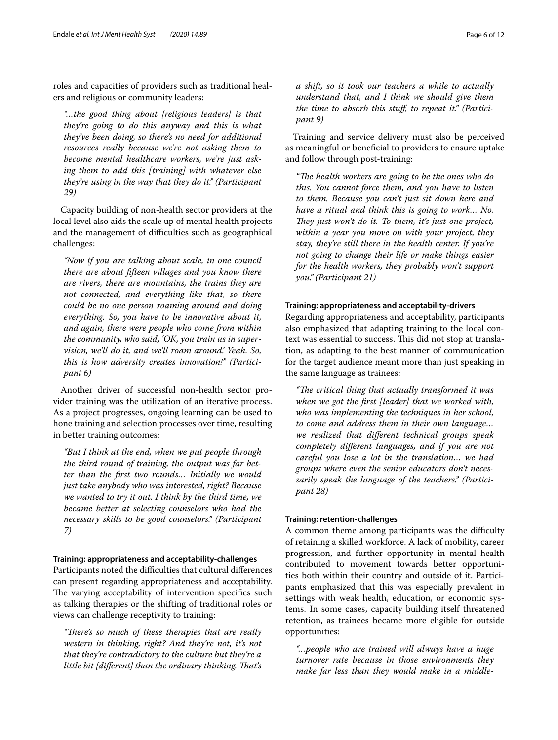roles and capacities of providers such as traditional healers and religious or community leaders:

*"…the good thing about [religious leaders] is that they're going to do this anyway and this is what they've been doing, so there's no need for additional resources really because we're not asking them to become mental healthcare workers, we're just asking them to add this [training] with whatever else they're using in the way that they do it." (Participant 29)*

Capacity building of non-health sector providers at the local level also aids the scale up of mental health projects and the management of difficulties such as geographical challenges:

*"Now if you are talking about scale, in one council there are about ffteen villages and you know there are rivers, there are mountains, the trains they are not connected, and everything like that, so there could be no one person roaming around and doing everything. So, you have to be innovative about it, and again, there were people who come from within the community, who said, 'OK, you train us in supervision, we'll do it, and we'll roam around.' Yeah. So, this is how adversity creates innovation!" (Participant 6)*

Another driver of successful non-health sector provider training was the utilization of an iterative process. As a project progresses, ongoing learning can be used to hone training and selection processes over time, resulting in better training outcomes:

*"But I think at the end, when we put people through the third round of training, the output was far better than the frst two rounds… Initially we would just take anybody who was interested, right? Because we wanted to try it out. I think by the third time, we became better at selecting counselors who had the necessary skills to be good counselors." (Participant 7)*

#### **Training: appropriateness and acceptability‑challenges**

Participants noted the difficulties that cultural differences can present regarding appropriateness and acceptability. The varying acceptability of intervention specifics such as talking therapies or the shifting of traditional roles or views can challenge receptivity to training:

"There's so much of these therapies that are really *western in thinking, right? And they're not, it's not that they're contradictory to the culture but they're a little bit [different] than the ordinary thinking. That's* 

*a shift, so it took our teachers a while to actually understand that, and I think we should give them the time to absorb this stuf, to repeat it." (Participant 9)*

Training and service delivery must also be perceived as meaningful or benefcial to providers to ensure uptake and follow through post-training:

"The health workers are going to be the ones who do *this. You cannot force them, and you have to listen to them. Because you can't just sit down here and have a ritual and think this is going to work… No. They just won't do it. To them, it's just one project, within a year you move on with your project, they stay, they're still there in the health center. If you're not going to change their life or make things easier for the health workers, they probably won't support you." (Participant 21)*

#### **Training: appropriateness and acceptability‑drivers**

Regarding appropriateness and acceptability, participants also emphasized that adapting training to the local context was essential to success. This did not stop at translation, as adapting to the best manner of communication for the target audience meant more than just speaking in the same language as trainees:

*"Te critical thing that actually transformed it was when we got the frst [leader] that we worked with, who was implementing the techniques in her school, to come and address them in their own language… we realized that diferent technical groups speak completely diferent languages, and if you are not careful you lose a lot in the translation… we had groups where even the senior educators don't necessarily speak the language of the teachers." (Participant 28)*

#### **Training: retention‑challenges**

A common theme among participants was the difficulty of retaining a skilled workforce. A lack of mobility, career progression, and further opportunity in mental health contributed to movement towards better opportunities both within their country and outside of it. Participants emphasized that this was especially prevalent in settings with weak health, education, or economic systems. In some cases, capacity building itself threatened retention, as trainees became more eligible for outside opportunities:

*"…people who are trained will always have a huge turnover rate because in those environments they make far less than they would make in a middle-*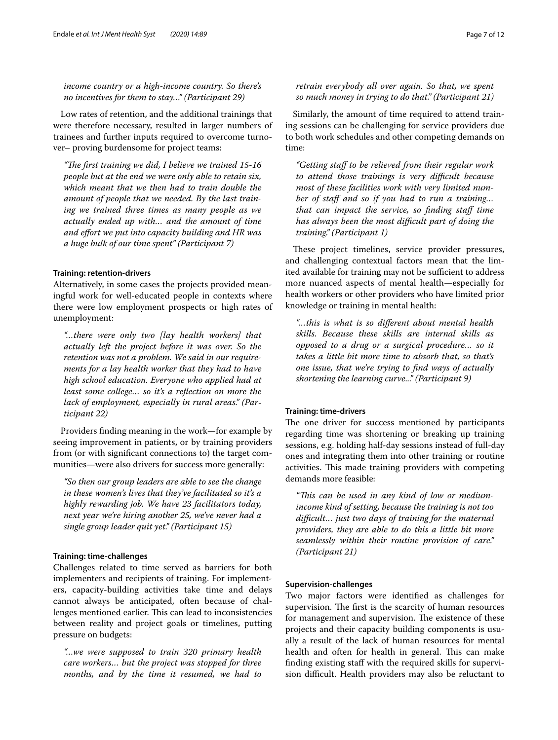*income country or a high-income country. So there's no incentives for them to stay…" (Participant 29)*

Low rates of retention, and the additional trainings that were therefore necessary, resulted in larger numbers of trainees and further inputs required to overcome turnover– proving burdensome for project teams:

*"Te frst training we did, I believe we trained 15-16 people but at the end we were only able to retain six, which meant that we then had to train double the amount of people that we needed. By the last training we trained three times as many people as we actually ended up with… and the amount of time and efort we put into capacity building and HR was a huge bulk of our time spent" (Participant 7)*

#### **Training: retention‑drivers**

Alternatively, in some cases the projects provided meaningful work for well-educated people in contexts where there were low employment prospects or high rates of unemployment:

*"…there were only two [lay health workers] that actually left the project before it was over. So the retention was not a problem. We said in our requirements for a lay health worker that they had to have high school education. Everyone who applied had at least some college… so it's a refection on more the lack of employment, especially in rural areas." (Participant 22)*

Providers fnding meaning in the work—for example by seeing improvement in patients, or by training providers from (or with signifcant connections to) the target communities—were also drivers for success more generally:

*"So then our group leaders are able to see the change in these women's lives that they've facilitated so it's a highly rewarding job. We have 23 facilitators today, next year we're hiring another 25, we've never had a single group leader quit yet." (Participant 15)*

#### **Training: time‑challenges**

Challenges related to time served as barriers for both implementers and recipients of training. For implementers, capacity-building activities take time and delays cannot always be anticipated, often because of challenges mentioned earlier. This can lead to inconsistencies between reality and project goals or timelines, putting pressure on budgets:

*"…we were supposed to train 320 primary health care workers… but the project was stopped for three months, and by the time it resumed, we had to* 

### *retrain everybody all over again. So that, we spent so much money in trying to do that." (Participant 21)*

Similarly, the amount of time required to attend training sessions can be challenging for service providers due to both work schedules and other competing demands on time:

*"Getting staf to be relieved from their regular work to attend those trainings is very difcult because most of these facilities work with very limited num*ber of staff and so if you had to run a training... *that can impact the service, so fnding staf time has always been the most difcult part of doing the training." (Participant 1)*

These project timelines, service provider pressures, and challenging contextual factors mean that the limited available for training may not be sufficient to address more nuanced aspects of mental health—especially for health workers or other providers who have limited prior knowledge or training in mental health:

*"…this is what is so diferent about mental health skills. Because these skills are internal skills as opposed to a drug or a surgical procedure… so it takes a little bit more time to absorb that, so that's one issue, that we're trying to fnd ways of actually shortening the learning curve..." (Participant 9)*

#### **Training: time‑drivers**

The one driver for success mentioned by participants regarding time was shortening or breaking up training sessions, e.g. holding half-day sessions instead of full-day ones and integrating them into other training or routine activities. This made training providers with competing demands more feasible:

*"Tis can be used in any kind of low or mediumincome kind of setting, because the training is not too difcult… just two days of training for the maternal providers, they are able to do this a little bit more seamlessly within their routine provision of care." (Participant 21)*

#### **Supervision‑challenges**

Two major factors were identifed as challenges for supervision. The first is the scarcity of human resources for management and supervision. The existence of these projects and their capacity building components is usually a result of the lack of human resources for mental health and often for health in general. This can make fnding existing staf with the required skills for supervision difficult. Health providers may also be reluctant to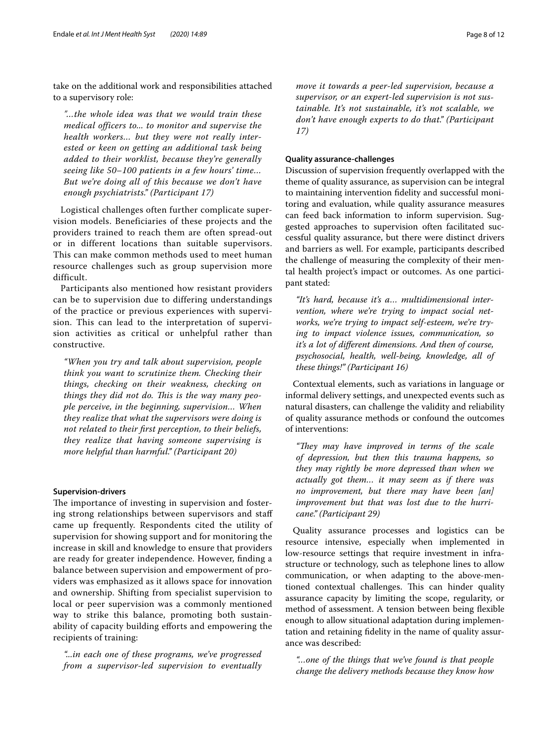take on the additional work and responsibilities attached to a supervisory role:

*"…the whole idea was that we would train these medical officers to... to monitor and supervise the health workers… but they were not really interested or keen on getting an additional task being added to their worklist, because they're generally seeing like 50–100 patients in a few hours' time… But we're doing all of this because we don't have enough psychiatrists." (Participant 17)*

Logistical challenges often further complicate supervision models. Beneficiaries of these projects and the providers trained to reach them are often spread-out or in different locations than suitable supervisors. This can make common methods used to meet human resource challenges such as group supervision more difficult.

Participants also mentioned how resistant providers can be to supervision due to differing understandings of the practice or previous experiences with supervision. This can lead to the interpretation of supervision activities as critical or unhelpful rather than constructive.

*"When you try and talk about supervision, people think you want to scrutinize them. Checking their things, checking on their weakness, checking on*  things they did not do. This is the way many peo*ple perceive, in the beginning, supervision… When they realize that what the supervisors were doing is not related to their frst perception, to their beliefs, they realize that having someone supervising is more helpful than harmful." (Participant 20)*

#### **Supervision‑drivers**

The importance of investing in supervision and fostering strong relationships between supervisors and staf came up frequently. Respondents cited the utility of supervision for showing support and for monitoring the increase in skill and knowledge to ensure that providers are ready for greater independence. However, fnding a balance between supervision and empowerment of providers was emphasized as it allows space for innovation and ownership. Shifting from specialist supervision to local or peer supervision was a commonly mentioned way to strike this balance, promoting both sustainability of capacity building eforts and empowering the recipients of training:

*"...in each one of these programs, we've progressed from a supervisor-led supervision to eventually* 

*move it towards a peer-led supervision, because a supervisor, or an expert-led supervision is not sustainable. It's not sustainable, it's not scalable, we don't have enough experts to do that." (Participant* 

#### **Quality assurance‑challenges**

*17)*

Discussion of supervision frequently overlapped with the theme of quality assurance, as supervision can be integral to maintaining intervention fdelity and successful monitoring and evaluation, while quality assurance measures can feed back information to inform supervision. Suggested approaches to supervision often facilitated successful quality assurance, but there were distinct drivers and barriers as well. For example, participants described the challenge of measuring the complexity of their mental health project's impact or outcomes. As one participant stated:

*"It's hard, because it's a… multidimensional intervention, where we're trying to impact social networks, we're trying to impact self-esteem, we're trying to impact violence issues, communication, so it's a lot of diferent dimensions. And then of course, psychosocial, health, well-being, knowledge, all of these things!" (Participant 16)*

Contextual elements, such as variations in language or informal delivery settings, and unexpected events such as natural disasters, can challenge the validity and reliability of quality assurance methods or confound the outcomes of interventions:

*"Tey may have improved in terms of the scale of depression, but then this trauma happens, so they may rightly be more depressed than when we actually got them… it may seem as if there was no improvement, but there may have been [an] improvement but that was lost due to the hurricane." (Participant 29)*

Quality assurance processes and logistics can be resource intensive, especially when implemented in low-resource settings that require investment in infrastructure or technology, such as telephone lines to allow communication, or when adapting to the above-mentioned contextual challenges. This can hinder quality assurance capacity by limiting the scope, regularity, or method of assessment. A tension between being flexible enough to allow situational adaptation during implementation and retaining fdelity in the name of quality assurance was described:

*"…one of the things that we've found is that people change the delivery methods because they know how*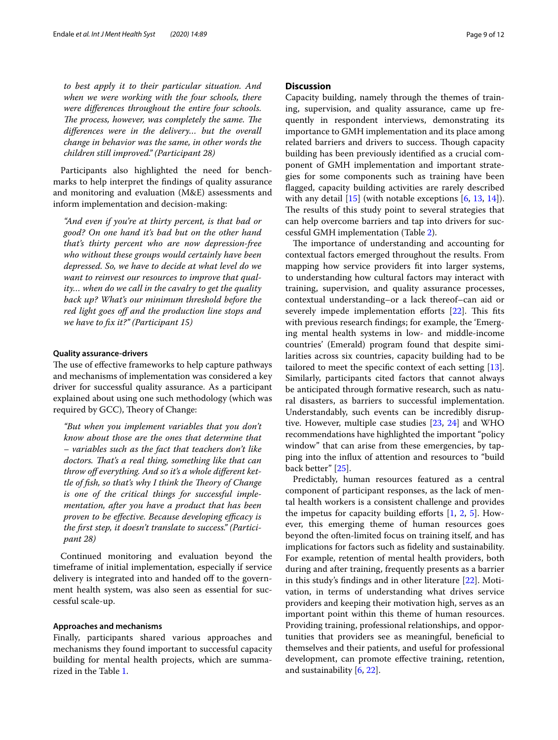*to best apply it to their particular situation. And when we were working with the four schools, there were diferences throughout the entire four schools. The process, however, was completely the same. The diferences were in the delivery… but the overall change in behavior was the same, in other words the children still improved." (Participant 28)*

Participants also highlighted the need for benchmarks to help interpret the fndings of quality assurance and monitoring and evaluation (M&E) assessments and inform implementation and decision-making:

*"And even if you're at thirty percent, is that bad or good? On one hand it's bad but on the other hand that's thirty percent who are now depression-free who without these groups would certainly have been depressed. So, we have to decide at what level do we want to reinvest our resources to improve that quality… when do we call in the cavalry to get the quality back up? What's our minimum threshold before the red light goes of and the production line stops and we have to fx it?" (Participant 15)*

#### **Quality assurance‑drivers**

The use of effective frameworks to help capture pathways and mechanisms of implementation was considered a key driver for successful quality assurance. As a participant explained about using one such methodology (which was required by GCC), Theory of Change:

*"But when you implement variables that you don't know about those are the ones that determine that – variables such as the fact that teachers don't like doctors. Tat's a real thing, something like that can throw of everything. And so it's a whole diferent kettle of fish, so that's why I think the Theory of Change is one of the critical things for successful implementation, after you have a product that has been proven to be effective. Because developing efficacy is the frst step, it doesn't translate to success." (Participant 28)* 

Continued monitoring and evaluation beyond the timeframe of initial implementation, especially if service delivery is integrated into and handed off to the government health system, was also seen as essential for successful scale-up.

#### **Approaches and mechanisms**

Finally, participants shared various approaches and mechanisms they found important to successful capacity building for mental health projects, which are summarized in the Table [1.](#page-3-0)

#### **Discussion**

Capacity building, namely through the themes of training, supervision, and quality assurance, came up frequently in respondent interviews, demonstrating its importance to GMH implementation and its place among related barriers and drivers to success. Though capacity building has been previously identifed as a crucial component of GMH implementation and important strategies for some components such as training have been fagged, capacity building activities are rarely described with any detail [[15\]](#page-11-7) (with notable exceptions [\[6](#page-10-4), [13,](#page-11-14) [14\]](#page-11-6)). The results of this study point to several strategies that can help overcome barriers and tap into drivers for successful GMH implementation (Table [2](#page-9-0)).

The importance of understanding and accounting for contextual factors emerged throughout the results. From mapping how service providers ft into larger systems, to understanding how cultural factors may interact with training, supervision, and quality assurance processes, contextual understanding–or a lack thereof–can aid or severely impede implementation efforts [\[22\]](#page-11-15). This fits with previous research fndings; for example, the 'Emerging mental health systems in low- and middle-income countries' (Emerald) program found that despite similarities across six countries, capacity building had to be tailored to meet the specifc context of each setting [\[13](#page-11-14)]. Similarly, participants cited factors that cannot always be anticipated through formative research, such as natural disasters, as barriers to successful implementation. Understandably, such events can be incredibly disruptive. However, multiple case studies [[23,](#page-11-16) [24](#page-11-17)] and WHO recommendations have highlighted the important "policy window" that can arise from these emergencies, by tapping into the infux of attention and resources to "build back better" [[25\]](#page-11-18).

Predictably, human resources featured as a central component of participant responses, as the lack of mental health workers is a consistent challenge and provides the impetus for capacity building efforts  $[1, 2, 5]$  $[1, 2, 5]$  $[1, 2, 5]$  $[1, 2, 5]$  $[1, 2, 5]$  $[1, 2, 5]$ . However, this emerging theme of human resources goes beyond the often-limited focus on training itself, and has implications for factors such as fdelity and sustainability. For example, retention of mental health providers, both during and after training, frequently presents as a barrier in this study's fndings and in other literature [[22\]](#page-11-15). Motivation, in terms of understanding what drives service providers and keeping their motivation high, serves as an important point within this theme of human resources. Providing training, professional relationships, and opportunities that providers see as meaningful, benefcial to themselves and their patients, and useful for professional development, can promote efective training, retention, and sustainability [[6,](#page-10-4) [22\]](#page-11-15).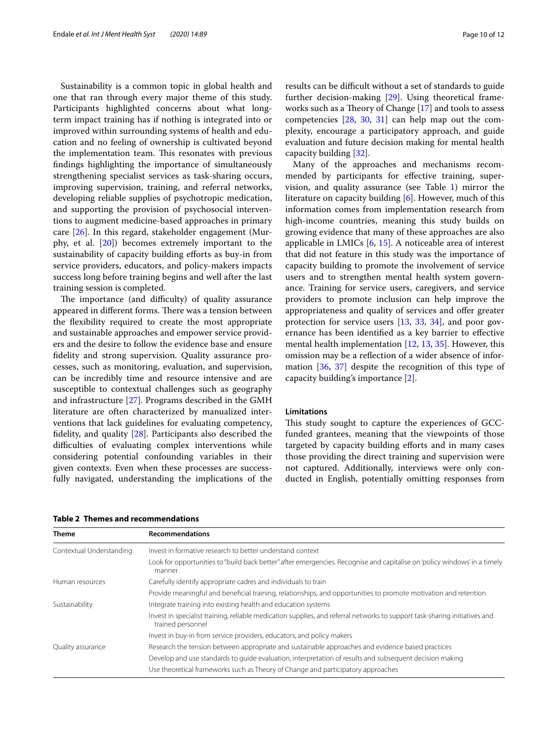Sustainability is a common topic in global health and one that ran through every major theme of this study. Participants highlighted concerns about what longterm impact training has if nothing is integrated into or improved within surrounding systems of health and education and no feeling of ownership is cultivated beyond the implementation team. This resonates with previous fndings highlighting the importance of simultaneously strengthening specialist services as task-sharing occurs, improving supervision, training, and referral networks, developing reliable supplies of psychotropic medication, and supporting the provision of psychosocial interventions to augment medicine-based approaches in primary care [\[26](#page-11-19)]. In this regard, stakeholder engagement (Murphy, et al. [\[20](#page-11-12)]) becomes extremely important to the sustainability of capacity building efforts as buy-in from service providers, educators, and policy-makers impacts success long before training begins and well after the last training session is completed.

The importance (and difficulty) of quality assurance appeared in different forms. There was a tension between the fexibility required to create the most appropriate and sustainable approaches and empower service providers and the desire to follow the evidence base and ensure fdelity and strong supervision. Quality assurance processes, such as monitoring, evaluation, and supervision, can be incredibly time and resource intensive and are susceptible to contextual challenges such as geography and infrastructure [\[27](#page-11-20)]. Programs described in the GMH literature are often characterized by manualized interventions that lack guidelines for evaluating competency, fdelity, and quality [\[28](#page-11-21)]. Participants also described the difficulties of evaluating complex interventions while considering potential confounding variables in their given contexts. Even when these processes are successfully navigated, understanding the implications of the results can be difficult without a set of standards to guide further decision-making [\[29](#page-11-22)]. Using theoretical frameworks such as a Theory of Change  $[17]$  $[17]$  $[17]$  and tools to assess competencies [\[28](#page-11-21), [30,](#page-11-23) [31](#page-11-24)] can help map out the complexity, encourage a participatory approach, and guide evaluation and future decision making for mental health capacity building [[32\]](#page-11-25).

Many of the approaches and mechanisms recommended by participants for efective training, supervision, and quality assurance (see Table [1\)](#page-3-0) mirror the literature on capacity building [\[6](#page-10-4)]. However, much of this information comes from implementation research from high-income countries, meaning this study builds on growing evidence that many of these approaches are also applicable in LMICs [\[6](#page-10-4), [15](#page-11-7)]. A noticeable area of interest that did not feature in this study was the importance of capacity building to promote the involvement of service users and to strengthen mental health system governance. Training for service users, caregivers, and service providers to promote inclusion can help improve the appropriateness and quality of services and offer greater protection for service users [\[13](#page-11-14), [33](#page-11-26), [34\]](#page-11-27), and poor governance has been identifed as a key barrier to efective mental health implementation [\[12,](#page-11-5) [13,](#page-11-14) [35](#page-11-28)]. However, this omission may be a refection of a wider absence of information [\[36](#page-11-29), [37](#page-11-30)] despite the recognition of this type of capacity building's importance [[2\]](#page-10-1).

#### **Limitations**

This study sought to capture the experiences of GCCfunded grantees, meaning that the viewpoints of those targeted by capacity building efforts and in many cases those providing the direct training and supervision were not captured. Additionally, interviews were only conducted in English, potentially omitting responses from

| <b>Theme</b>             | <b>Recommendations</b>                                                                                                                          |
|--------------------------|-------------------------------------------------------------------------------------------------------------------------------------------------|
| Contextual Understanding | Invest in formative research to better understand context                                                                                       |
|                          | Look for opportunities to "build back better" after emergencies. Recognise and capitalise on 'policy windows' in a timely<br>manner             |
| Human resources          | Carefully identify appropriate cadres and individuals to train                                                                                  |
|                          | Provide meaningful and beneficial training, relationships, and opportunities to promote motivation and retention                                |
| Sustainability           | Integrate training into existing health and education systems                                                                                   |
|                          | Invest in specialist training, reliable medication supplies, and referral networks to support task-sharing initiatives and<br>trained personnel |
|                          | Invest in buy-in from service providers, educators, and policy makers                                                                           |
| Quality assurance        | Research the tension between appropriate and sustainable approaches and evidence based practices                                                |
|                          | Develop and use standards to quide evaluation, interpretation of results and subsequent decision making                                         |
|                          | Use theoretical frameworks such as Theory of Change and participatory approaches                                                                |

<span id="page-9-0"></span>**Table 2 Themes and recommendations**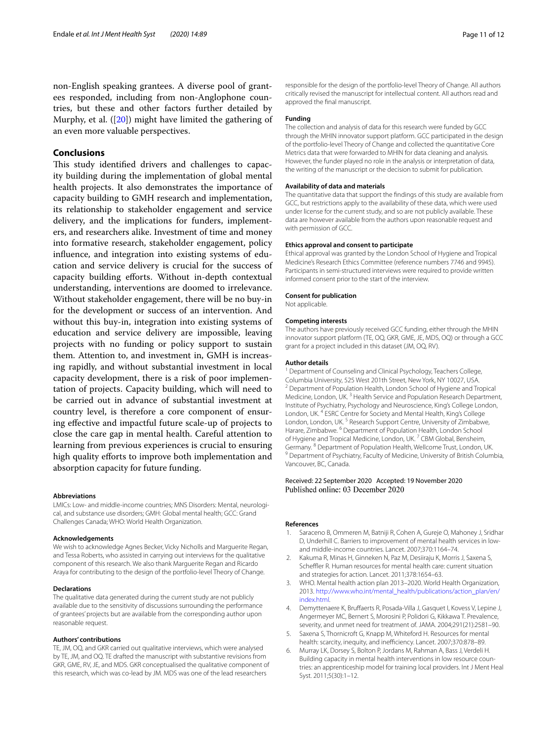non-English speaking grantees. A diverse pool of grantees responded, including from non-Anglophone countries, but these and other factors further detailed by Murphy, et al. ([\[20](#page-11-12)]) might have limited the gathering of an even more valuable perspectives.

#### **Conclusions**

This study identified drivers and challenges to capacity building during the implementation of global mental health projects. It also demonstrates the importance of capacity building to GMH research and implementation, its relationship to stakeholder engagement and service delivery, and the implications for funders, implementers, and researchers alike. Investment of time and money into formative research, stakeholder engagement, policy infuence, and integration into existing systems of education and service delivery is crucial for the success of capacity building efforts. Without in-depth contextual understanding, interventions are doomed to irrelevance. Without stakeholder engagement, there will be no buy-in for the development or success of an intervention. And without this buy-in, integration into existing systems of education and service delivery are impossible, leaving projects with no funding or policy support to sustain them. Attention to, and investment in, GMH is increasing rapidly, and without substantial investment in local capacity development, there is a risk of poor implementation of projects. Capacity building, which will need to be carried out in advance of substantial investment at country level, is therefore a core component of ensuring efective and impactful future scale-up of projects to close the care gap in mental health. Careful attention to learning from previous experiences is crucial to ensuring high quality efforts to improve both implementation and absorption capacity for future funding.

#### **Abbreviations**

LMICs: Low- and middle-income countries; MNS Disorders: Mental, neurological, and substance use disorders; GMH: Global mental health; GCC: Grand Challenges Canada; WHO: World Health Organization.

#### **Acknowledgements**

We wish to acknowledge Agnes Becker, Vicky Nicholls and Marguerite Regan, and Tessa Roberts, who assisted in carrying out interviews for the qualitative component of this research. We also thank Marguerite Regan and Ricardo Araya for contributing to the design of the portfolio-level Theory of Change.

#### **Declarations**

The qualitative data generated during the current study are not publicly available due to the sensitivity of discussions surrounding the performance of grantees' projects but are available from the corresponding author upon reasonable request.

#### **Authors' contributions**

TE, JM, OQ, and GKR carried out qualitative interviews, which were analysed by TE, JM, and OQ. TE drafted the manuscript with substantive revisions from GKR, GME, RV, JE, and MDS. GKR conceptualised the qualitative component of this research, which was co-lead by JM. MDS was one of the lead researchers

responsible for the design of the portfolio-level Theory of Change. All authors critically revised the manuscript for intellectual content. All authors read and approved the fnal manuscript.

#### **Funding**

The collection and analysis of data for this research were funded by GCC through the MHIN innovator support platform. GCC participated in the design of the portfolio-level Theory of Change and collected the quantitative Core Metrics data that were forwarded to MHIN for data cleaning and analysis. However, the funder played no role in the analysis or interpretation of data, the writing of the manuscript or the decision to submit for publication.

#### **Availability of data and materials**

The quantitative data that support the fndings of this study are available from GCC, but restrictions apply to the availability of these data, which were used under license for the current study, and so are not publicly available. These data are however available from the authors upon reasonable request and with permission of GCC.

#### **Ethics approval and consent to participate**

Ethical approval was granted by the London School of Hygiene and Tropical Medicine's Research Ethics Committee (reference numbers 7746 and 9945). Participants in semi-structured interviews were required to provide written informed consent prior to the start of the interview.

#### **Consent for publication**

Not applicable.

#### **Competing interests**

The authors have previously received GCC funding, either through the MHIN innovator support platform (TE, OQ, GKR, GME, JE, MDS, OQ) or through a GCC grant for a project included in this dataset (JM, OQ, RV).

#### **Author details**

<sup>1</sup> Department of Counseling and Clinical Psychology, Teachers College, Columbia University, 525 West 201th Street, New York, NY 10027, USA. <sup>2</sup> Department of Population Health, London School of Hygiene and Tropical Medicine, London, UK.<sup>3</sup> Health Service and Population Research Department, Institute of Psychiatry, Psychology and Neuroscience, King's College London, London, UK. 4 ESRC Centre for Society and Mental Health, King's College London, London, UK.<sup>5</sup> Research Support Centre, University of Zimbabwe, Harare, Zimbabwe. 6 Department of Population Health, London School of Hygiene and Tropical Medicine, London, UK.<sup>7</sup> CBM Global, Bensheim, Germany. <sup>8</sup> Department of Population Health, Wellcome Trust, London, UK.<br><sup>9</sup> Department of Psychiatry, Faculty of Medicine, University of British Columbia, Vancouver, BC, Canada.

# Received: 22 September 2020 Accepted: 19 November 2020

#### **References**

- <span id="page-10-0"></span>1. Saraceno B, Ommeren M, Batniji R, Cohen A, Gureje O, Mahoney J, Sridhar D, Underhill C. Barriers to improvement of mental health services in lowand middle-income countries. Lancet. 2007;370:1164–74.
- <span id="page-10-1"></span>2. Kakuma R, Minas H, Ginneken N, Paz M, Desiiraju K, Morris J, Saxena S, Scheffler R. Human resources for mental health care: current situation and strategies for action. Lancet. 2011;378:1654–63.
- <span id="page-10-2"></span>3. WHO. Mental health action plan 2013–2020. World Health Organization, 2013. [http://www.who.int/mental\\_health/publications/action\\_plan/en/](http://www.who.int/mental_health/publications/action_plan/en/index.html) [index.html.](http://www.who.int/mental_health/publications/action_plan/en/index.html)
- 4. Demyttenaere K, Brufaerts R, Posada-Villa J, Gasquet I, Kovess V, Lepine J, Angermeyer MC, Bernert S, Morosini P, Polidori G, Kikkawa T. Prevalence, severity, and unmet need for treatment of. JAMA. 2004;291(21):2581–90.
- <span id="page-10-3"></span>5. Saxena S, Thornicroft G, Knapp M, Whiteford H. Resources for mental health: scarcity, inequity, and inefficiency. Lancet. 2007;370:878-89.
- <span id="page-10-4"></span>6. Murray LK, Dorsey S, Bolton P, Jordans M, Rahman A, Bass J, Verdeli H. Building capacity in mental health interventions in low resource countries: an apprenticeship model for training local providers. Int J Ment Heal Syst. 2011;5(30):1–12.